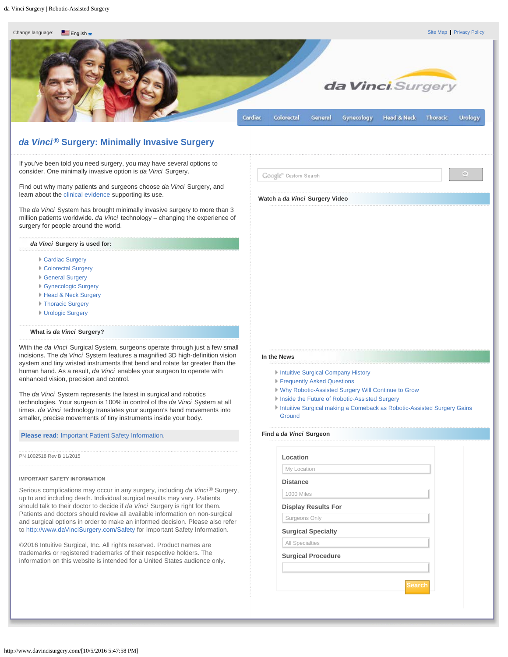[Site Map](http://www.davincisurgery.com/site-map.php) [Privacy Policy](http://www.davincisurgery.com/privacy-policy.php)

<span id="page-0-0"></span>

# *da Vinci***® Surgery: Minimally Invasive Surgery**

If you've been told you need surgery, you may have several options to consider. One minimally invasive option is *da Vinci* Surgery.

Find out why many patients and surgeons choose *da Vinci* Surgery, and learn about the [clinical evidence](http://www.davincisurgery.com/clinical-evidence.php) supporting its use.

The *da Vinci* System has brought minimally invasive surgery to more than 3 million patients worldwide. *da Vinci* technology – changing the experience of surgery for people around the world.

#### *da Vinci* **Surgery is used for:**

- [Cardiac Surgery](http://www.davincisurgery.com/da-vinci-cardiac/)
- [Colorectal Surgery](http://www.davincisurgery.com/da-vinci-colorectal/)
- [General Surgery](http://www.davincisurgery.com/da-vinci-general-surgery/)
- [Gynecologic Surgery](http://www.davincisurgery.com/da-vinci-gynecology/)
- **[Head & Neck Surgery](http://www.davincisurgery.com/da-vinci-head-and-neck/)**
- **[Thoracic Surgery](http://www.davincisurgery.com/da-vinci-thoracic/)**
- [Urologic Surgery](http://www.davincisurgery.com/da-vinci-urology/)

## **What is** *da Vinci* **Surgery?**

With the *da Vinci* Surgical System, surgeons operate through just a few small incisions. The *da Vinci* System features a magnified 3D high-definition vision system and tiny wristed instruments that bend and rotate far greater than the human hand. As a result, *da Vinci* enables your surgeon to operate with enhanced vision, precision and control.

The *da Vinci* System represents the latest in surgical and robotics technologies. Your surgeon is 100% in control of the *da Vinci* System at all times. *da Vinci* technology translates your surgeon's hand movements into smaller, precise movements of tiny instruments inside your body.

## **Please read:** [Important Patient Safety Information](http://www.davincisurgery.com/safety/).

PN 1002518 Rev B 11/2015

#### **IMPORTANT SAFETY INFORMATION**

Serious complications may occur in any surgery, including *da Vinci*<sup>®</sup> Surgery, up to and including death. Individual surgical results may vary. Patients should talk to their doctor to decide if *da Vinci* Surgery is right for them. Patients and doctors should review all available information on non-surgical and surgical options in order to make an informed decision. Please also refer to [http://www.daVinciSurgery.com/Safety](http://www.davincisurgery.com/Safety) for Important Safety Information.

©2016 Intuitive Surgical, Inc. All rights reserved. Product names are trademarks or registered trademarks of their respective holders. The information on this website is intended for a United States audience only.

#### **In the News**

- **I** [Intuitive Surgical Company History](http://www.intuitivesurgical.com/company/history/)
- **[Frequently Asked Questions](http://www.intuitivesurgical.com/company/faqs.html)**

**Watch a** *da Vinci* **Surgery Video**

Google" Custom Search

- [Why Robotic-Assisted Surgery Will Continue to Grow](http://video.cnbc.com/gallery/?video=3000456016)
- **[Inside the Future of Robotic-Assisted Surgery](http://www.bloomberg.com/news/videos/2016-01-14/inside-the-future-of-robotic-surgery)**
- **[Intuitive Surgical making a Comeback as Robotic-Assisted Surgery Gains](http://www.investors.com/research/the-new-america/intuitive-surgical-making-a-comeback-as-robot-surgery-gains-ground/) [Ground](http://www.investors.com/research/the-new-america/intuitive-surgical-making-a-comeback-as-robot-surgery-gains-ground/)**

# **Find a** *da Vinci* **Surgeon**

| Location                   |  |
|----------------------------|--|
| My Location                |  |
| <b>Distance</b>            |  |
| 1000 Miles                 |  |
| <b>Display Results For</b> |  |
| Surgeons Only              |  |
| <b>Surgical Specialty</b>  |  |
| All Specialties            |  |
| <b>Surgical Procedure</b>  |  |
|                            |  |
| <b>Search</b>              |  |